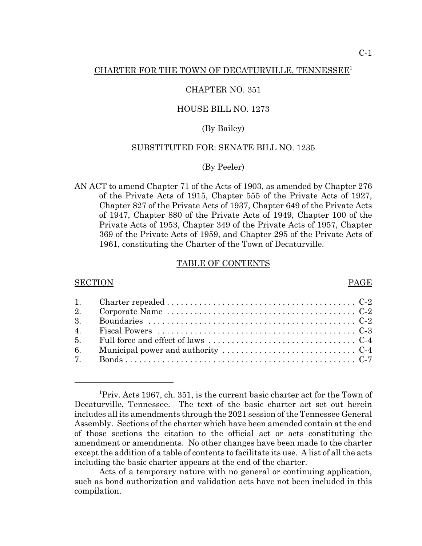## CHAPTER NO. 351

## HOUSE BILL NO. 1273

## (By Bailey)

## SUBSTITUTED FOR: SENATE BILL NO. 1235

## (By Peeler)

AN ACT to amend Chapter 71 of the Acts of 1903, as amended by Chapter 276 of the Private Acts of 1915, Chapter 555 of the Private Acts of 1927, Chapter 827 of the Private Acts of 1937, Chapter 649 of the Private Acts of 1947, Chapter 880 of the Private Acts of 1949, Chapter 100 of the Private Acts of 1953, Chapter 349 of the Private Acts of 1957, Chapter 369 of the Private Acts of 1959, and Chapter 295 of the Private Acts of 1961, constituting the Charter of the Town of Decaturville.

## TABLE OF CONTENTS

### SECTION PAGE

# 1. Charter repealed . . . . . . . . . . . . . . . . . . . . . . . . . . . . . . . . . . . . . . . . . C-2 2. Corporate Name . . . . . . . . . . . . . . . . . . . . . . . . . . . . . . . . . . . . . . . . . C-2 3. Boundaries . . . . . . . . . . . . . . . . . . . . . . . . . . . . . . . . . . . . . . . . . . . . . C-2 4. Fiscal Powers . . . . . . . . . . . . . . . . . . . . . . . . . . . . . . . . . . . . . . . . . . . C-3 5. Full force and effect of laws . . . . . . . . . . . . . . . . . . . . . . . . . . . . . . . . C-4 6. Municipal power and authority  $\dots \dots \dots \dots \dots \dots \dots \dots \dots \dots$ 7. Bonds . . . . . . . . . . . . . . . . . . . . . . . . . . . . . . . . . . . . . . . . . . . . . . . . . . C-7

<sup>&</sup>lt;sup>1</sup>Priv. Acts 1967, ch. 351, is the current basic charter act for the Town of Decaturville, Tennessee. The text of the basic charter act set out herein includes all its amendments through the 2021 session of the Tennessee General Assembly. Sections of the charter which have been amended contain at the end of those sections the citation to the official act or acts constituting the amendment or amendments. No other changes have been made to the charter except the addition of a table of contents to facilitate its use. A list of all the acts including the basic charter appears at the end of the charter.

Acts of a temporary nature with no general or continuing application, such as bond authorization and validation acts have not been included in this compilation.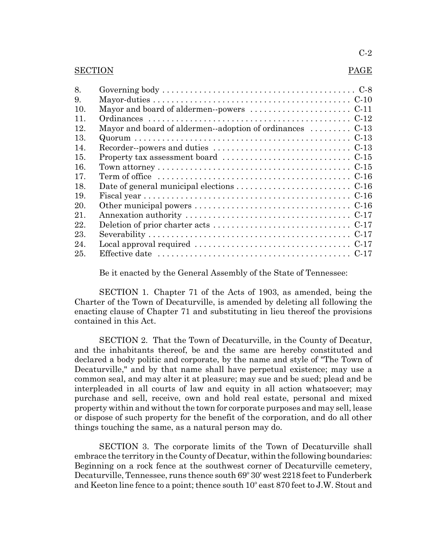## C-2

### SECTION PAGE

| 8.  |                                                                                                      |
|-----|------------------------------------------------------------------------------------------------------|
| 9.  |                                                                                                      |
| 10. |                                                                                                      |
| 11. |                                                                                                      |
| 12. | Mayor and board of aldermen--adoption of ordinances  C-13                                            |
| 13. |                                                                                                      |
| 14  |                                                                                                      |
| 15. |                                                                                                      |
| 16. |                                                                                                      |
| 17. | Term of office $\dots \dots \dots \dots \dots \dots \dots \dots \dots \dots \dots \dots \dots \dots$ |
| 18. | Date of general municipal elections $\dots \dots \dots \dots \dots \dots \dots \dots$                |
| 19. |                                                                                                      |
| 20. |                                                                                                      |
| 21. |                                                                                                      |
| 22. | Deletion of prior charter acts $\dots \dots \dots \dots \dots \dots \dots \dots \dots \dots$         |
| 23. |                                                                                                      |
| 24. | Local approval required $\dots\dots\dots\dots\dots\dots\dots\dots\dots\dots\dots\dots$               |
| 25. |                                                                                                      |

Be it enacted by the General Assembly of the State of Tennessee:

SECTION 1. Chapter 71 of the Acts of 1903, as amended, being the Charter of the Town of Decaturville, is amended by deleting all following the enacting clause of Chapter 71 and substituting in lieu thereof the provisions contained in this Act.

SECTION 2. That the Town of Decaturville, in the County of Decatur, and the inhabitants thereof, be and the same are hereby constituted and declared a body politic and corporate, by the name and style of "The Town of Decaturville," and by that name shall have perpetual existence; may use a common seal, and may alter it at pleasure; may sue and be sued; plead and be interpleaded in all courts of law and equity in all action whatsoever; may purchase and sell, receive, own and hold real estate, personal and mixed property within and without the town for corporate purposes and may sell, lease or dispose of such property for the benefit of the corporation, and do all other things touching the same, as a natural person may do.

SECTION 3. The corporate limits of the Town of Decaturville shall embrace the territory in the County of Decatur, within the following boundaries: Beginning on a rock fence at the southwest corner of Decaturville cemetery, Decaturville, Tennessee, runs thence south 69° 30' west 2218 feet to Funderberk and Keeton line fence to a point; thence south 10° east 870 feet to J.W. Stout and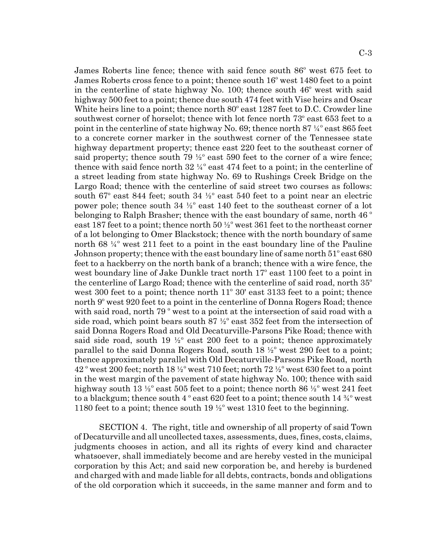James Roberts line fence; thence with said fence south 86° west 675 feet to James Roberts cross fence to a point; thence south 16<sup>°</sup> west 1480 feet to a point in the centerline of state highway No. 100; thence south  $46^{\circ}$  west with said highway 500 feet to a point; thence due south 474 feet with Vise heirs and Oscar White heirs line to a point; thence north  $80^\circ$  east 1287 feet to D.C. Crowder line southwest corner of horselot; thence with lot fence north 73° east 653 feet to a point in the centerline of state highway No. 69; thence north  $87\frac{1}{4}^{\circ}$  east  $865$  feet to a concrete corner marker in the southwest corner of the Tennessee state highway department property; thence east 220 feet to the southeast corner of said property; thence south  $79\frac{1}{2}^{\circ}$  east  $590$  feet to the corner of a wire fence; thence with said fence north  $32\frac{1}{4}^{\circ}$  east  $474$  feet to a point; in the centerline of a street leading from state highway No. 69 to Rushings Creek Bridge on the Largo Road; thence with the centerline of said street two courses as follows: south  $67^\circ$  east  $844$  feet; south  $34\frac{1}{2}^\circ$  east  $540$  feet to a point near an electric power pole; thence south  $34\frac{1}{2}^{\circ}$  east 140 feet to the southeast corner of a lot belonging to Ralph Brasher; thence with the east boundary of same, north  $46^{\degree}$ east 187 feet to a point; thence north  $50\frac{1}{2}^{\circ}$  west 361 feet to the northeast corner of a lot belonging to Omer Blackstock; thence with the north boundary of same north 68 $\frac{1}{4}^{\circ}$  west 211 feet to a point in the east boundary line of the Pauline Johnson property; thence with the east boundary line of same north  $51^{\circ}$  east 680 feet to a hackberry on the north bank of a branch; thence with a wire fence, the west boundary line of Jake Dunkle tract north 17° east 1100 feet to a point in the centerline of Largo Road; thence with the centerline of said road, north  $35^{\circ}$ west  $300$  feet to a point; thence north  $11^{\circ}$   $30'$  east  $3133$  feet to a point; thence north 9° west 920 feet to a point in the centerline of Donna Rogers Road; thence with said road, north  $79^{\degree}$  west to a point at the intersection of said road with a side road, which point bears south  $87\frac{1}{2}^{\circ}$  east  $352$  feet from the intersection of said Donna Rogers Road and Old Decaturville-Parsons Pike Road; thence with said side road, south  $19\frac{1}{2}$  east 200 feet to a point; thence approximately parallel to the said Donna Rogers Road, south  $18\frac{1}{2}^{\circ}$  west 290 feet to a point; thence approximately parallel with Old Decaturville-Parsons Pike Road, north  $42^{\degree}$  west 200 feet; north  $18\frac{1}{2}^{\degree}$  west 710 feet; north 72  $\frac{1}{2}^{\degree}$  west 630 feet to a point in the west margin of the pavement of state highway No. 100; thence with said highway south 13  $\frac{1}{2}$  east 505 feet to a point; thence north 86  $\frac{1}{2}$  west 241 feet to a blackgum; thence south 4  $\degree$  east 620 feet to a point; thence south 14  $\frac{3}{4} \degree$  west 1180 feet to a point; thence south 19  $\frac{1}{2}^{\circ}$  west 1310 feet to the beginning.

SECTION 4. The right, title and ownership of all property of said Town of Decaturville and all uncollected taxes, assessments, dues, fines, costs, claims, judgments chooses in action, and all its rights of every kind and character whatsoever, shall immediately become and are hereby vested in the municipal corporation by this Act; and said new corporation be, and hereby is burdened and charged with and made liable for all debts, contracts, bonds and obligations of the old corporation which it succeeds, in the same manner and form and to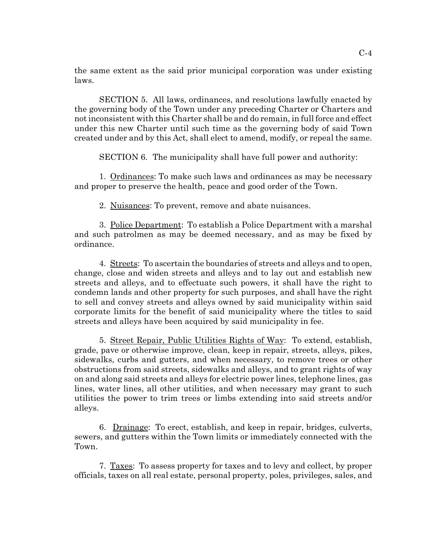the same extent as the said prior municipal corporation was under existing laws.

SECTION 5. All laws, ordinances, and resolutions lawfully enacted by the governing body of the Town under any preceding Charter or Charters and not inconsistent with this Charter shall be and do remain, in full force and effect under this new Charter until such time as the governing body of said Town created under and by this Act, shall elect to amend, modify, or repeal the same.

SECTION 6. The municipality shall have full power and authority:

1. Ordinances: To make such laws and ordinances as may be necessary and proper to preserve the health, peace and good order of the Town.

2. Nuisances: To prevent, remove and abate nuisances.

3. Police Department: To establish a Police Department with a marshal and such patrolmen as may be deemed necessary, and as may be fixed by ordinance.

4. Streets: To ascertain the boundaries of streets and alleys and to open, change, close and widen streets and alleys and to lay out and establish new streets and alleys, and to effectuate such powers, it shall have the right to condemn lands and other property for such purposes, and shall have the right to sell and convey streets and alleys owned by said municipality within said corporate limits for the benefit of said municipality where the titles to said streets and alleys have been acquired by said municipality in fee.

5. Street Repair, Public Utilities Rights of Way: To extend, establish, grade, pave or otherwise improve, clean, keep in repair, streets, alleys, pikes, sidewalks, curbs and gutters, and when necessary, to remove trees or other obstructions from said streets, sidewalks and alleys, and to grant rights of way on and along said streets and alleys for electric power lines, telephone lines, gas lines, water lines, all other utilities, and when necessary may grant to such utilities the power to trim trees or limbs extending into said streets and/or alleys.

6. Drainage: To erect, establish, and keep in repair, bridges, culverts, sewers, and gutters within the Town limits or immediately connected with the Town.

7. Taxes: To assess property for taxes and to levy and collect, by proper officials, taxes on all real estate, personal property, poles, privileges, sales, and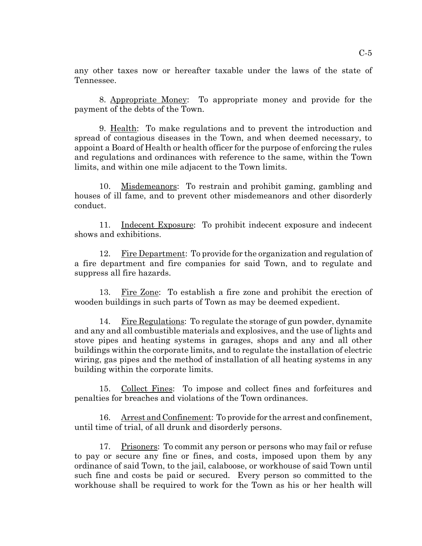any other taxes now or hereafter taxable under the laws of the state of Tennessee.

8. Appropriate Money: To appropriate money and provide for the payment of the debts of the Town.

9. Health: To make regulations and to prevent the introduction and spread of contagious diseases in the Town, and when deemed necessary, to appoint a Board of Health or health officer for the purpose of enforcing the rules and regulations and ordinances with reference to the same, within the Town limits, and within one mile adjacent to the Town limits.

10. Misdemeanors: To restrain and prohibit gaming, gambling and houses of ill fame, and to prevent other misdemeanors and other disorderly conduct.

11. Indecent Exposure: To prohibit indecent exposure and indecent shows and exhibitions.

12. Fire Department: To provide for the organization and regulation of a fire department and fire companies for said Town, and to regulate and suppress all fire hazards.

13. Fire Zone: To establish a fire zone and prohibit the erection of wooden buildings in such parts of Town as may be deemed expedient.

14. Fire Regulations: To regulate the storage of gun powder, dynamite and any and all combustible materials and explosives, and the use of lights and stove pipes and heating systems in garages, shops and any and all other buildings within the corporate limits, and to regulate the installation of electric wiring, gas pipes and the method of installation of all heating systems in any building within the corporate limits.

15. Collect Fines: To impose and collect fines and forfeitures and penalties for breaches and violations of the Town ordinances.

16. Arrest and Confinement: To provide for the arrest and confinement, until time of trial, of all drunk and disorderly persons.

17. Prisoners: To commit any person or persons who may fail or refuse to pay or secure any fine or fines, and costs, imposed upon them by any ordinance of said Town, to the jail, calaboose, or workhouse of said Town until such fine and costs be paid or secured. Every person so committed to the workhouse shall be required to work for the Town as his or her health will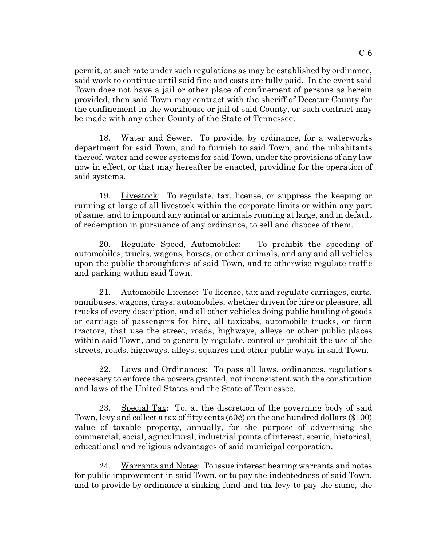permit, at such rate under such regulations as may be established by ordinance, said work to continue until said fine and costs are fully paid. In the event said Town does not have a jail or other place of confinement of persons as herein provided, then said Town may contract with the sheriff of Decatur County for the confinement in the workhouse or jail of said County, or such contract may be made with any other County of the State of Tennessee.

18. Water and Sewer. To provide, by ordinance, for a waterworks department for said Town, and to furnish to said Town, and the inhabitants thereof, water and sewer systems for said Town, under the provisions of any law now in effect, or that may hereafter be enacted, providing for the operation of said systems.

19. Livestock: To regulate, tax, license, or suppress the keeping or running at large of all livestock within the corporate limits or within any part of same, and to impound any animal or animals running at large, and in default of redemption in pursuance of any ordinance, to sell and dispose of them.

20. Regulate Speed, Automobiles: To prohibit the speeding of automobiles, trucks, wagons, horses, or other animals, and any and all vehicles upon the public thoroughfares of said Town, and to otherwise regulate traffic and parking within said Town.

21. Automobile License: To license, tax and regulate carriages, carts, omnibuses, wagons, drays, automobiles, whether driven for hire or pleasure, all trucks of every description, and all other vehicles doing public hauling of goods or carriage of passengers for hire, all taxicabs, automobile trucks, or farm tractors, that use the street, roads, highways, alleys or other public places within said Town, and to generally regulate, control or prohibit the use of the streets, roads, highways, alleys, squares and other public ways in said Town.

22. Laws and Ordinances: To pass all laws, ordinances, regulations necessary to enforce the powers granted, not inconsistent with the constitution and laws of the United States and the State of Tennessee.

23. Special Tax: To, at the discretion of the governing body of said Town, levy and collect a tax of fifty cents (50¢) on the one hundred dollars (\$100) value of taxable property, annually, for the purpose of advertising the commercial, social, agricultural, industrial points of interest, scenic, historical, educational and religious advantages of said municipal corporation.

24. Warrants and Notes: To issue interest bearing warrants and notes for public improvement in said Town, or to pay the indebtedness of said Town, and to provide by ordinance a sinking fund and tax levy to pay the same, the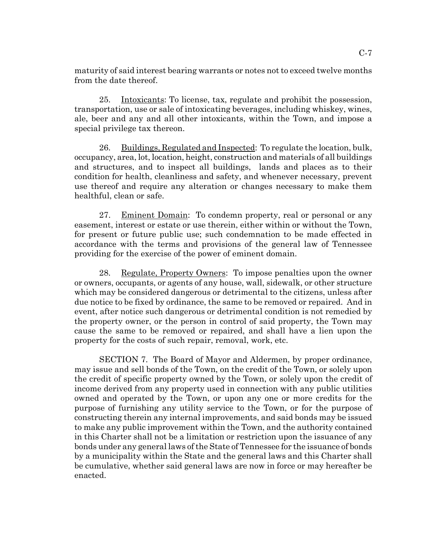maturity of said interest bearing warrants or notes not to exceed twelve months from the date thereof.

25. Intoxicants: To license, tax, regulate and prohibit the possession, transportation, use or sale of intoxicating beverages, including whiskey, wines, ale, beer and any and all other intoxicants, within the Town, and impose a special privilege tax thereon.

26. Buildings, Regulated and Inspected: To regulate the location, bulk, occupancy, area, lot, location, height, construction and materials of all buildings and structures, and to inspect all buildings, lands and places as to their condition for health, cleanliness and safety, and whenever necessary, prevent use thereof and require any alteration or changes necessary to make them healthful, clean or safe.

27. Eminent Domain: To condemn property, real or personal or any easement, interest or estate or use therein, either within or without the Town, for present or future public use; such condemnation to be made effected in accordance with the terms and provisions of the general law of Tennessee providing for the exercise of the power of eminent domain.

28. Regulate, Property Owners: To impose penalties upon the owner or owners, occupants, or agents of any house, wall, sidewalk, or other structure which may be considered dangerous or detrimental to the citizens, unless after due notice to be fixed by ordinance, the same to be removed or repaired. And in event, after notice such dangerous or detrimental condition is not remedied by the property owner, or the person in control of said property, the Town may cause the same to be removed or repaired, and shall have a lien upon the property for the costs of such repair, removal, work, etc.

SECTION 7. The Board of Mayor and Aldermen, by proper ordinance, may issue and sell bonds of the Town, on the credit of the Town, or solely upon the credit of specific property owned by the Town, or solely upon the credit of income derived from any property used in connection with any public utilities owned and operated by the Town, or upon any one or more credits for the purpose of furnishing any utility service to the Town, or for the purpose of constructing therein any internal improvements, and said bonds may be issued to make any public improvement within the Town, and the authority contained in this Charter shall not be a limitation or restriction upon the issuance of any bonds under any general laws of the State of Tennessee for the issuance of bonds by a municipality within the State and the general laws and this Charter shall be cumulative, whether said general laws are now in force or may hereafter be enacted.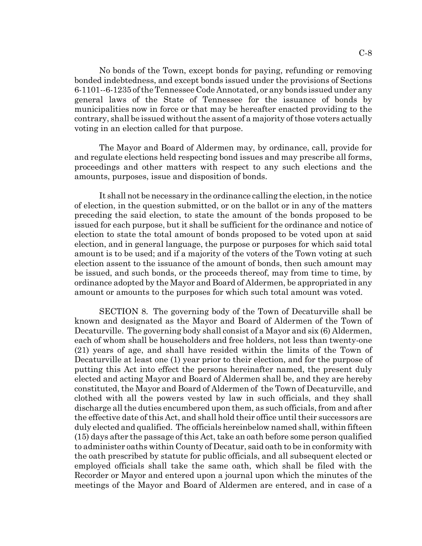No bonds of the Town, except bonds for paying, refunding or removing bonded indebtedness, and except bonds issued under the provisions of Sections 6-1101--6-1235 of the Tennessee Code Annotated, or any bonds issued under any general laws of the State of Tennessee for the issuance of bonds by municipalities now in force or that may be hereafter enacted providing to the contrary, shall be issued without the assent of a majority of those voters actually voting in an election called for that purpose.

The Mayor and Board of Aldermen may, by ordinance, call, provide for and regulate elections held respecting bond issues and may prescribe all forms, proceedings and other matters with respect to any such elections and the amounts, purposes, issue and disposition of bonds.

It shall not be necessary in the ordinance calling the election, in the notice of election, in the question submitted, or on the ballot or in any of the matters preceding the said election, to state the amount of the bonds proposed to be issued for each purpose, but it shall be sufficient for the ordinance and notice of election to state the total amount of bonds proposed to be voted upon at said election, and in general language, the purpose or purposes for which said total amount is to be used; and if a majority of the voters of the Town voting at such election assent to the issuance of the amount of bonds, then such amount may be issued, and such bonds, or the proceeds thereof, may from time to time, by ordinance adopted by the Mayor and Board of Aldermen, be appropriated in any amount or amounts to the purposes for which such total amount was voted.

SECTION 8. The governing body of the Town of Decaturville shall be known and designated as the Mayor and Board of Aldermen of the Town of Decaturville. The governing body shall consist of a Mayor and six (6) Aldermen, each of whom shall be householders and free holders, not less than twenty-one (21) years of age, and shall have resided within the limits of the Town of Decaturville at least one (1) year prior to their election, and for the purpose of putting this Act into effect the persons hereinafter named, the present duly elected and acting Mayor and Board of Aldermen shall be, and they are hereby constituted, the Mayor and Board of Aldermen of the Town of Decaturville, and clothed with all the powers vested by law in such officials, and they shall discharge all the duties encumbered upon them, as such officials, from and after the effective date of this Act, and shall hold their office until their successors are duly elected and qualified. The officials hereinbelow named shall, within fifteen (15) days after the passage of this Act, take an oath before some person qualified to administer oaths within County of Decatur, said oath to be in conformity with the oath prescribed by statute for public officials, and all subsequent elected or employed officials shall take the same oath, which shall be filed with the Recorder or Mayor and entered upon a journal upon which the minutes of the meetings of the Mayor and Board of Aldermen are entered, and in case of a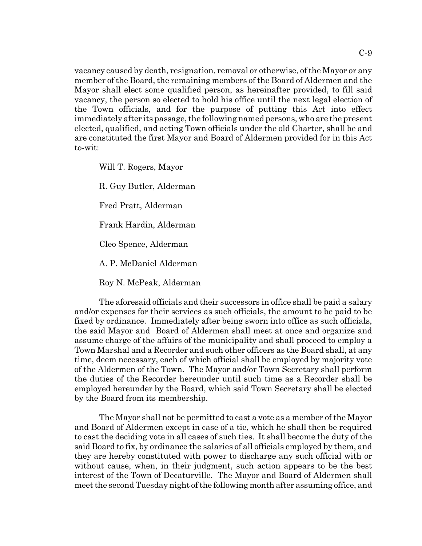vacancy caused by death, resignation, removal or otherwise, of the Mayor or any member of the Board, the remaining members of the Board of Aldermen and the Mayor shall elect some qualified person, as hereinafter provided, to fill said vacancy, the person so elected to hold his office until the next legal election of the Town officials, and for the purpose of putting this Act into effect immediately after its passage, the following named persons, who are the present elected, qualified, and acting Town officials under the old Charter, shall be and are constituted the first Mayor and Board of Aldermen provided for in this Act to-wit:

Will T. Rogers, Mayor R. Guy Butler, Alderman Fred Pratt, Alderman Frank Hardin, Alderman Cleo Spence, Alderman A. P. McDaniel Alderman Roy N. McPeak, Alderman

The aforesaid officials and their successors in office shall be paid a salary and/or expenses for their services as such officials, the amount to be paid to be fixed by ordinance. Immediately after being sworn into office as such officials, the said Mayor and Board of Aldermen shall meet at once and organize and assume charge of the affairs of the municipality and shall proceed to employ a Town Marshal and a Recorder and such other officers as the Board shall, at any time, deem necessary, each of which official shall be employed by majority vote of the Aldermen of the Town. The Mayor and/or Town Secretary shall perform the duties of the Recorder hereunder until such time as a Recorder shall be employed hereunder by the Board, which said Town Secretary shall be elected by the Board from its membership.

The Mayor shall not be permitted to cast a vote as a member of the Mayor and Board of Aldermen except in case of a tie, which he shall then be required to cast the deciding vote in all cases of such ties. It shall become the duty of the said Board to fix, by ordinance the salaries of all officials employed by them, and they are hereby constituted with power to discharge any such official with or without cause, when, in their judgment, such action appears to be the best interest of the Town of Decaturville. The Mayor and Board of Aldermen shall meet the second Tuesday night of the following month after assuming office, and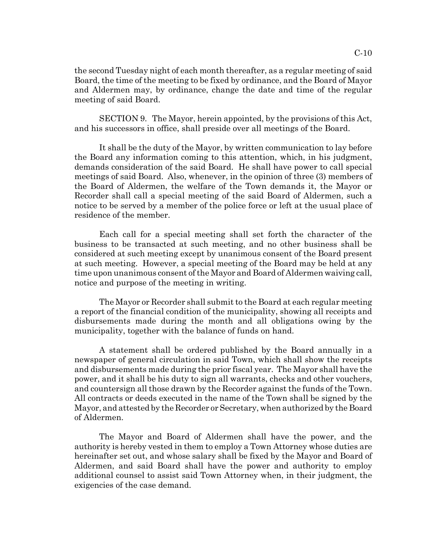the second Tuesday night of each month thereafter, as a regular meeting of said Board, the time of the meeting to be fixed by ordinance, and the Board of Mayor and Aldermen may, by ordinance, change the date and time of the regular meeting of said Board.

SECTION 9. The Mayor, herein appointed, by the provisions of this Act, and his successors in office, shall preside over all meetings of the Board.

It shall be the duty of the Mayor, by written communication to lay before the Board any information coming to this attention, which, in his judgment, demands consideration of the said Board. He shall have power to call special meetings of said Board. Also, whenever, in the opinion of three (3) members of the Board of Aldermen, the welfare of the Town demands it, the Mayor or Recorder shall call a special meeting of the said Board of Aldermen, such a notice to be served by a member of the police force or left at the usual place of residence of the member.

Each call for a special meeting shall set forth the character of the business to be transacted at such meeting, and no other business shall be considered at such meeting except by unanimous consent of the Board present at such meeting. However, a special meeting of the Board may be held at any time upon unanimous consent of the Mayor and Board of Aldermen waiving call, notice and purpose of the meeting in writing.

The Mayor or Recorder shall submit to the Board at each regular meeting a report of the financial condition of the municipality, showing all receipts and disbursements made during the month and all obligations owing by the municipality, together with the balance of funds on hand.

A statement shall be ordered published by the Board annually in a newspaper of general circulation in said Town, which shall show the receipts and disbursements made during the prior fiscal year. The Mayor shall have the power, and it shall be his duty to sign all warrants, checks and other vouchers, and countersign all those drawn by the Recorder against the funds of the Town. All contracts or deeds executed in the name of the Town shall be signed by the Mayor, and attested by the Recorder or Secretary, when authorized by the Board of Aldermen.

The Mayor and Board of Aldermen shall have the power, and the authority is hereby vested in them to employ a Town Attorney whose duties are hereinafter set out, and whose salary shall be fixed by the Mayor and Board of Aldermen, and said Board shall have the power and authority to employ additional counsel to assist said Town Attorney when, in their judgment, the exigencies of the case demand.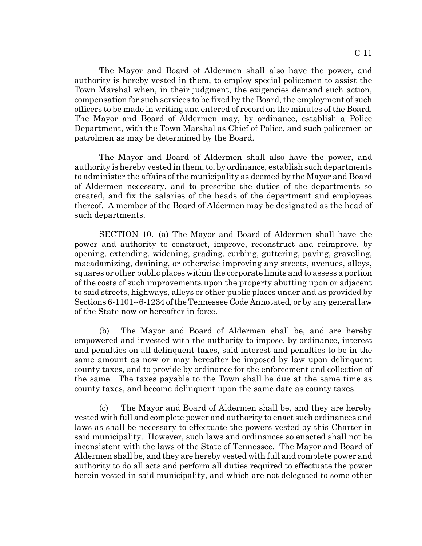The Mayor and Board of Aldermen shall also have the power, and authority is hereby vested in them, to employ special policemen to assist the Town Marshal when, in their judgment, the exigencies demand such action, compensation for such services to be fixed by the Board, the employment of such officers to be made in writing and entered of record on the minutes of the Board. The Mayor and Board of Aldermen may, by ordinance, establish a Police Department, with the Town Marshal as Chief of Police, and such policemen or patrolmen as may be determined by the Board.

The Mayor and Board of Aldermen shall also have the power, and authority is hereby vested in them, to, by ordinance, establish such departments to administer the affairs of the municipality as deemed by the Mayor and Board of Aldermen necessary, and to prescribe the duties of the departments so created, and fix the salaries of the heads of the department and employees thereof. A member of the Board of Aldermen may be designated as the head of such departments.

SECTION 10. (a) The Mayor and Board of Aldermen shall have the power and authority to construct, improve, reconstruct and reimprove, by opening, extending, widening, grading, curbing, guttering, paving, graveling, macadamizing, draining, or otherwise improving any streets, avenues, alleys, squares or other public places within the corporate limits and to assess a portion of the costs of such improvements upon the property abutting upon or adjacent to said streets, highways, alleys or other public places under and as provided by Sections 6-1101--6-1234 of the Tennessee Code Annotated, or by any general law of the State now or hereafter in force.

(b) The Mayor and Board of Aldermen shall be, and are hereby empowered and invested with the authority to impose, by ordinance, interest and penalties on all delinquent taxes, said interest and penalties to be in the same amount as now or may hereafter be imposed by law upon delinquent county taxes, and to provide by ordinance for the enforcement and collection of the same. The taxes payable to the Town shall be due at the same time as county taxes, and become delinquent upon the same date as county taxes.

(c) The Mayor and Board of Aldermen shall be, and they are hereby vested with full and complete power and authority to enact such ordinances and laws as shall be necessary to effectuate the powers vested by this Charter in said municipality. However, such laws and ordinances so enacted shall not be inconsistent with the laws of the State of Tennessee. The Mayor and Board of Aldermen shall be, and they are hereby vested with full and complete power and authority to do all acts and perform all duties required to effectuate the power herein vested in said municipality, and which are not delegated to some other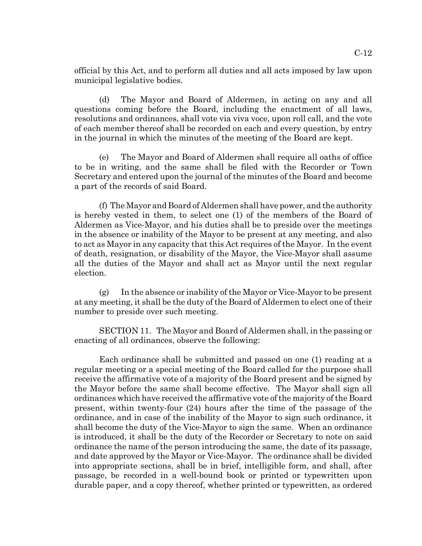official by this Act, and to perform all duties and all acts imposed by law upon municipal legislative bodies.

(d) The Mayor and Board of Aldermen, in acting on any and all questions coming before the Board, including the enactment of all laws, resolutions and ordinances, shall vote via viva voce, upon roll call, and the vote of each member thereof shall be recorded on each and every question, by entry in the journal in which the minutes of the meeting of the Board are kept.

(e) The Mayor and Board of Aldermen shall require all oaths of office to be in writing, and the same shall be filed with the Recorder or Town Secretary and entered upon the journal of the minutes of the Board and become a part of the records of said Board.

(f) The Mayor and Board of Aldermen shall have power, and the authority is hereby vested in them, to select one (1) of the members of the Board of Aldermen as Vice-Mayor, and his duties shall be to preside over the meetings in the absence or inability of the Mayor to be present at any meeting, and also to act as Mayor in any capacity that this Act requires of the Mayor. In the event of death, resignation, or disability of the Mayor, the Vice-Mayor shall assume all the duties of the Mayor and shall act as Mayor until the next regular election.

(g) In the absence or inability of the Mayor or Vice-Mayor to be present at any meeting, it shall be the duty of the Board of Aldermen to elect one of their number to preside over such meeting.

SECTION 11. The Mayor and Board of Aldermen shall, in the passing or enacting of all ordinances, observe the following:

Each ordinance shall be submitted and passed on one (1) reading at a regular meeting or a special meeting of the Board called for the purpose shall receive the affirmative vote of a majority of the Board present and be signed by the Mayor before the same shall become effective. The Mayor shall sign all ordinances which have received the affirmative vote of the majority of the Board present, within twenty-four (24) hours after the time of the passage of the ordinance, and in case of the inability of the Mayor to sign such ordinance, it shall become the duty of the Vice-Mayor to sign the same. When an ordinance is introduced, it shall be the duty of the Recorder or Secretary to note on said ordinance the name of the person introducing the same, the date of its passage, and date approved by the Mayor or Vice-Mayor. The ordinance shall be divided into appropriate sections, shall be in brief, intelligible form, and shall, after passage, be recorded in a well-bound book or printed or typewritten upon durable paper, and a copy thereof, whether printed or typewritten, as ordered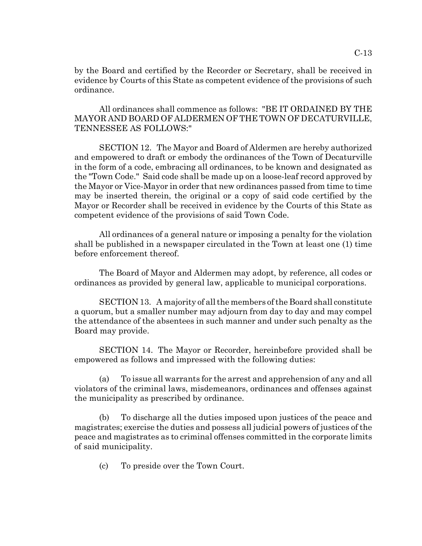by the Board and certified by the Recorder or Secretary, shall be received in evidence by Courts of this State as competent evidence of the provisions of such ordinance.

All ordinances shall commence as follows: "BE IT ORDAINED BY THE MAYOR AND BOARD OF ALDERMEN OF THE TOWN OF DECATURVILLE, TENNESSEE AS FOLLOWS:"

SECTION 12. The Mayor and Board of Aldermen are hereby authorized and empowered to draft or embody the ordinances of the Town of Decaturville in the form of a code, embracing all ordinances, to be known and designated as the "Town Code." Said code shall be made up on a loose-leaf record approved by the Mayor or Vice-Mayor in order that new ordinances passed from time to time may be inserted therein, the original or a copy of said code certified by the Mayor or Recorder shall be received in evidence by the Courts of this State as competent evidence of the provisions of said Town Code.

All ordinances of a general nature or imposing a penalty for the violation shall be published in a newspaper circulated in the Town at least one (1) time before enforcement thereof.

The Board of Mayor and Aldermen may adopt, by reference, all codes or ordinances as provided by general law, applicable to municipal corporations.

SECTION 13. A majority of all the members of the Board shall constitute a quorum, but a smaller number may adjourn from day to day and may compel the attendance of the absentees in such manner and under such penalty as the Board may provide.

SECTION 14. The Mayor or Recorder, hereinbefore provided shall be empowered as follows and impressed with the following duties:

(a) To issue all warrants for the arrest and apprehension of any and all violators of the criminal laws, misdemeanors, ordinances and offenses against the municipality as prescribed by ordinance.

(b) To discharge all the duties imposed upon justices of the peace and magistrates; exercise the duties and possess all judicial powers of justices of the peace and magistrates as to criminal offenses committed in the corporate limits of said municipality.

(c) To preside over the Town Court.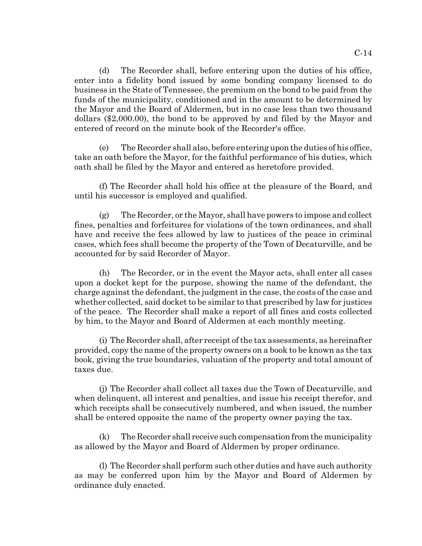(d) The Recorder shall, before entering upon the duties of his office, enter into a fidelity bond issued by some bonding company licensed to do business in the State of Tennessee, the premium on the bond to be paid from the funds of the municipality, conditioned and in the amount to be determined by the Mayor and the Board of Aldermen, but in no case less than two thousand dollars (\$2,000.00), the bond to be approved by and filed by the Mayor and entered of record on the minute book of the Recorder's office.

(e) The Recorder shall also, before entering upon the duties of his office, take an oath before the Mayor, for the faithful performance of his duties, which oath shall be filed by the Mayor and entered as heretofore provided.

(f) The Recorder shall hold his office at the pleasure of the Board, and until his successor is employed and qualified.

(g) The Recorder, or the Mayor, shall have powers to impose and collect fines, penalties and forfeitures for violations of the town ordinances, and shall have and receive the fees allowed by law to justices of the peace in criminal cases, which fees shall become the property of the Town of Decaturville, and be accounted for by said Recorder of Mayor.

(h) The Recorder, or in the event the Mayor acts, shall enter all cases upon a docket kept for the purpose, showing the name of the defendant, the charge against the defendant, the judgment in the case, the costs of the case and whether collected, said docket to be similar to that prescribed by law for justices of the peace. The Recorder shall make a report of all fines and costs collected by him, to the Mayor and Board of Aldermen at each monthly meeting.

(i) The Recorder shall, after receipt of the tax assessments, as hereinafter provided, copy the name of the property owners on a book to be known as the tax book, giving the true boundaries, valuation of the property and total amount of taxes due.

(j) The Recorder shall collect all taxes due the Town of Decaturville, and when delinquent, all interest and penalties, and issue his receipt therefor, and which receipts shall be consecutively numbered, and when issued, the number shall be entered opposite the name of the property owner paying the tax.

(k) The Recorder shall receive such compensation from the municipality as allowed by the Mayor and Board of Aldermen by proper ordinance.

(l) The Recorder shall perform such other duties and have such authority as may be conferred upon him by the Mayor and Board of Aldermen by ordinance duly enacted.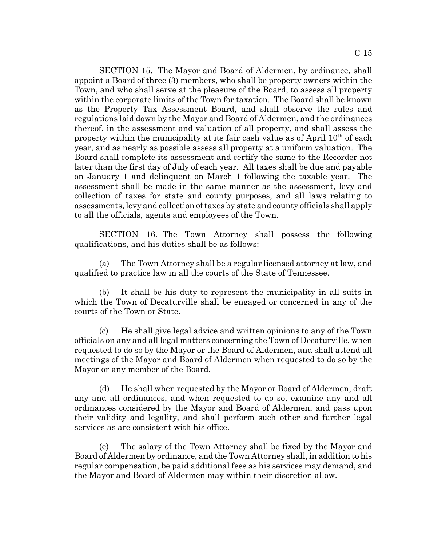SECTION 15. The Mayor and Board of Aldermen, by ordinance, shall appoint a Board of three (3) members, who shall be property owners within the Town, and who shall serve at the pleasure of the Board, to assess all property within the corporate limits of the Town for taxation. The Board shall be known as the Property Tax Assessment Board, and shall observe the rules and regulations laid down by the Mayor and Board of Aldermen, and the ordinances thereof, in the assessment and valuation of all property, and shall assess the property within the municipality at its fair cash value as of April  $10<sup>th</sup>$  of each year, and as nearly as possible assess all property at a uniform valuation. The Board shall complete its assessment and certify the same to the Recorder not later than the first day of July of each year. All taxes shall be due and payable on January 1 and delinquent on March 1 following the taxable year. The assessment shall be made in the same manner as the assessment, levy and collection of taxes for state and county purposes, and all laws relating to assessments, levy and collection of taxes by state and county officials shall apply to all the officials, agents and employees of the Town.

SECTION 16. The Town Attorney shall possess the following qualifications, and his duties shall be as follows:

(a) The Town Attorney shall be a regular licensed attorney at law, and qualified to practice law in all the courts of the State of Tennessee.

(b) It shall be his duty to represent the municipality in all suits in which the Town of Decaturville shall be engaged or concerned in any of the courts of the Town or State.

(c) He shall give legal advice and written opinions to any of the Town officials on any and all legal matters concerning the Town of Decaturville, when requested to do so by the Mayor or the Board of Aldermen, and shall attend all meetings of the Mayor and Board of Aldermen when requested to do so by the Mayor or any member of the Board.

(d) He shall when requested by the Mayor or Board of Aldermen, draft any and all ordinances, and when requested to do so, examine any and all ordinances considered by the Mayor and Board of Aldermen, and pass upon their validity and legality, and shall perform such other and further legal services as are consistent with his office.

(e) The salary of the Town Attorney shall be fixed by the Mayor and Board of Aldermen by ordinance, and the Town Attorney shall, in addition to his regular compensation, be paid additional fees as his services may demand, and the Mayor and Board of Aldermen may within their discretion allow.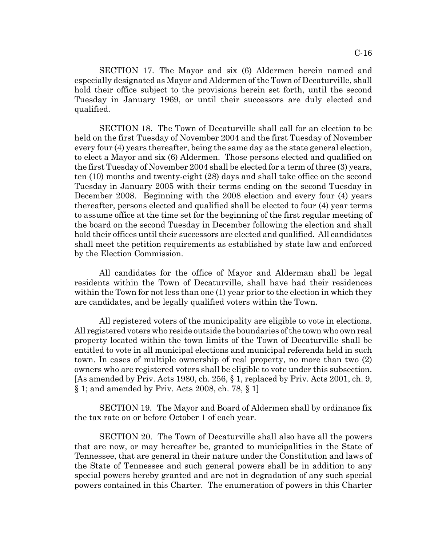SECTION 17. The Mayor and six (6) Aldermen herein named and especially designated as Mayor and Aldermen of the Town of Decaturville, shall hold their office subject to the provisions herein set forth, until the second Tuesday in January 1969, or until their successors are duly elected and qualified.

SECTION 18. The Town of Decaturville shall call for an election to be held on the first Tuesday of November 2004 and the first Tuesday of November every four (4) years thereafter, being the same day as the state general election, to elect a Mayor and six (6) Aldermen. Those persons elected and qualified on the first Tuesday of November 2004 shall be elected for a term of three (3) years, ten (10) months and twenty-eight (28) days and shall take office on the second Tuesday in January 2005 with their terms ending on the second Tuesday in December 2008. Beginning with the 2008 election and every four (4) years thereafter, persons elected and qualified shall be elected to four (4) year terms to assume office at the time set for the beginning of the first regular meeting of the board on the second Tuesday in December following the election and shall hold their offices until their successors are elected and qualified. All candidates shall meet the petition requirements as established by state law and enforced by the Election Commission.

All candidates for the office of Mayor and Alderman shall be legal residents within the Town of Decaturville, shall have had their residences within the Town for not less than one (1) year prior to the election in which they are candidates, and be legally qualified voters within the Town.

All registered voters of the municipality are eligible to vote in elections. All registered voters who reside outside the boundaries of the town who own real property located within the town limits of the Town of Decaturville shall be entitled to vote in all municipal elections and municipal referenda held in such town. In cases of multiple ownership of real property, no more than two (2) owners who are registered voters shall be eligible to vote under this subsection. [As amended by Priv. Acts 1980, ch. 256, § 1, replaced by Priv. Acts 2001, ch. 9, § 1; and amended by Priv. Acts 2008, ch. 78, § 1]

SECTION 19. The Mayor and Board of Aldermen shall by ordinance fix the tax rate on or before October 1 of each year.

SECTION 20. The Town of Decaturville shall also have all the powers that are now, or may hereafter be, granted to municipalities in the State of Tennessee, that are general in their nature under the Constitution and laws of the State of Tennessee and such general powers shall be in addition to any special powers hereby granted and are not in degradation of any such special powers contained in this Charter. The enumeration of powers in this Charter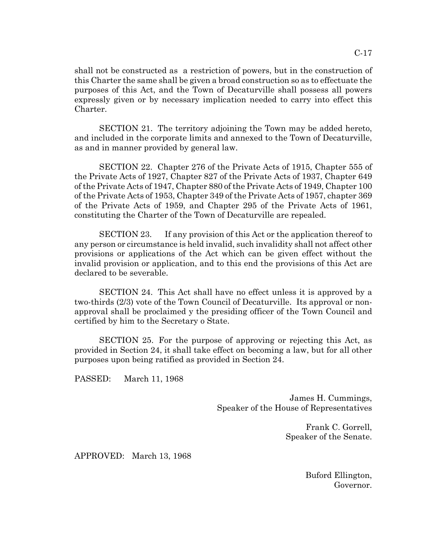shall not be constructed as a restriction of powers, but in the construction of this Charter the same shall be given a broad construction so as to effectuate the purposes of this Act, and the Town of Decaturville shall possess all powers expressly given or by necessary implication needed to carry into effect this Charter.

SECTION 21. The territory adjoining the Town may be added hereto, and included in the corporate limits and annexed to the Town of Decaturville, as and in manner provided by general law.

SECTION 22. Chapter 276 of the Private Acts of 1915, Chapter 555 of the Private Acts of 1927, Chapter 827 of the Private Acts of 1937, Chapter 649 of the Private Acts of 1947, Chapter 880 of the Private Acts of 1949, Chapter 100 of the Private Acts of 1953, Chapter 349 of the Private Acts of 1957, chapter 369 of the Private Acts of 1959, and Chapter 295 of the Private Acts of 1961, constituting the Charter of the Town of Decaturville are repealed.

SECTION 23. If any provision of this Act or the application thereof to any person or circumstance is held invalid, such invalidity shall not affect other provisions or applications of the Act which can be given effect without the invalid provision or application, and to this end the provisions of this Act are declared to be severable.

SECTION 24. This Act shall have no effect unless it is approved by a two-thirds (2/3) vote of the Town Council of Decaturville. Its approval or nonapproval shall be proclaimed y the presiding officer of the Town Council and certified by him to the Secretary o State.

SECTION 25. For the purpose of approving or rejecting this Act, as provided in Section 24, it shall take effect on becoming a law, but for all other purposes upon being ratified as provided in Section 24.

PASSED: March 11, 1968

James H. Cummings, Speaker of the House of Representatives

> Frank C. Gorrell, Speaker of the Senate.

APPROVED: March 13, 1968

Buford Ellington, Governor.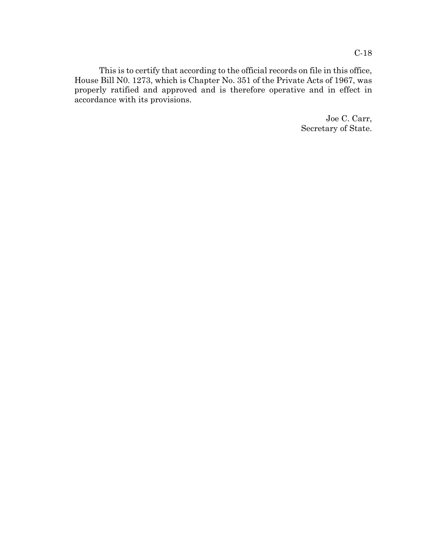C-18

This is to certify that according to the official records on file in this office, House Bill N0. 1273, which is Chapter No. 351 of the Private Acts of 1967, was properly ratified and approved and is therefore operative and in effect in accordance with its provisions.

> Joe C. Carr, Secretary of State.